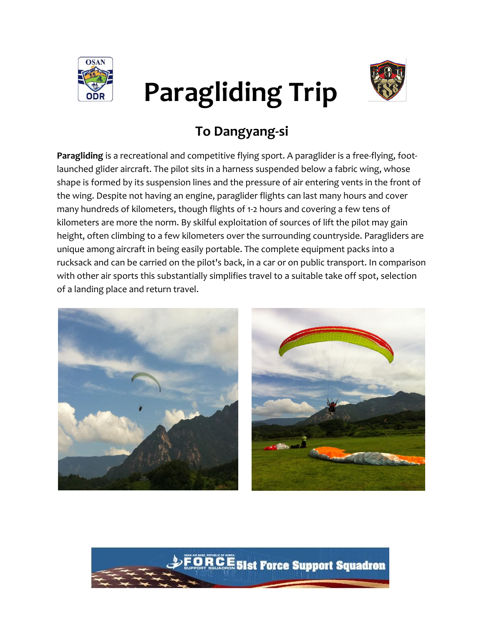

## **Paragliding Trip**



## **To Dangyang-si**

**Paragliding** is a recreational and competitive flying sport. A paraglider is a free-flying, footlaunched [glider aircraft.](http://en.wikipedia.org/wiki/Glider_aircraft) The pilot sits in a harness suspended below a fabric wing, whose shape is formed by its suspension lines and the pressure o[f air entering vents](http://en.wikipedia.org/wiki/Paragliding#History) in the front of the [wing.](http://en.wikipedia.org/wiki/Wing) Despite not having an engine, paraglider flights can last many hours and cover many hundreds of kilometers, though flights of 1-2 hours and covering a few tens of kilometers are more the norm. By skilful exploitation of sources o[f lift](http://en.wikipedia.org/wiki/Lift_(soaring)) the pilot may gain height, often climbing to a few kilometers over the surrounding countryside. Paragliders are unique among aircraft in being easily portable. The complete equipment packs into a rucksack and can be carried on the pilot's back, in a car or on public transport. In comparison with other air sports this substantially simplifies travel to a suitable take off spot, selection of a landing place and return travel.